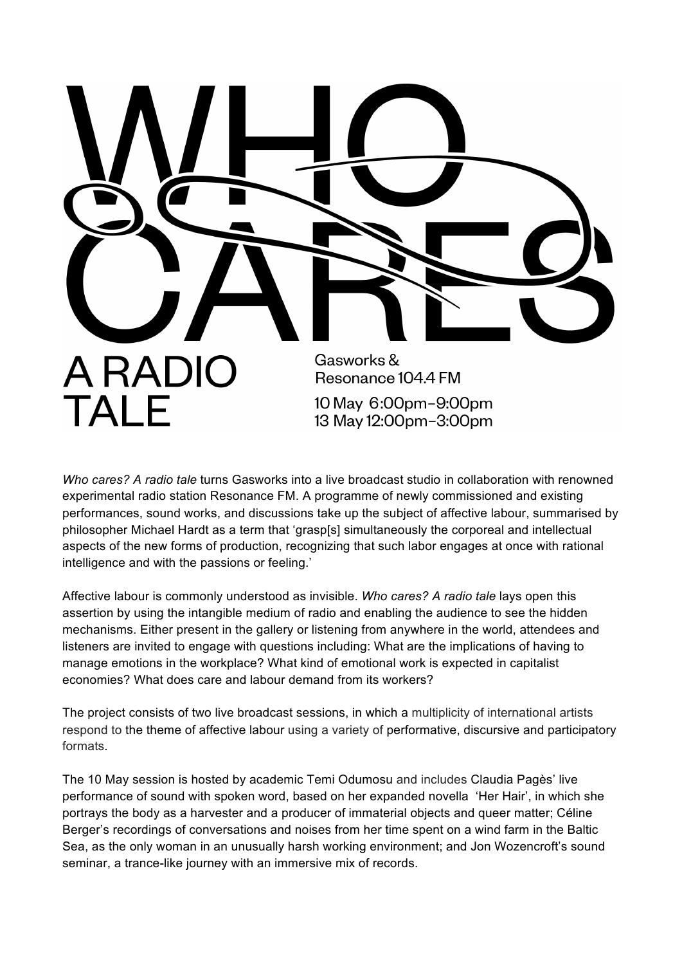

*Who cares? A radio tale* turns Gasworks into a live broadcast studio in collaboration with renowned experimental radio station Resonance FM. A programme of newly commissioned and existing performances, sound works, and discussions take up the subject of affective labour, summarised by philosopher Michael Hardt as a term that 'grasp[s] simultaneously the corporeal and intellectual aspects of the new forms of production, recognizing that such labor engages at once with rational intelligence and with the passions or feeling.'

Affective labour is commonly understood as invisible. *Who cares? A radio tale* lays open this assertion by using the intangible medium of radio and enabling the audience to see the hidden mechanisms. Either present in the gallery or listening from anywhere in the world, attendees and listeners are invited to engage with questions including: What are the implications of having to manage emotions in the workplace? What kind of emotional work is expected in capitalist economies? What does care and labour demand from its workers?

The project consists of two live broadcast sessions, in which a multiplicity of international artists respond to the theme of affective labour using a variety of performative, discursive and participatory formats.

The 10 May session is hosted by academic Temi Odumosu and includes Claudia Pagès' live performance of sound with spoken word, based on her expanded novella 'Her Hair', in which she portrays the body as a harvester and a producer of immaterial objects and queer matter; Céline Berger's recordings of conversations and noises from her time spent on a wind farm in the Baltic Sea, as the only woman in an unusually harsh working environment; and Jon Wozencroft's sound seminar, a trance-like journey with an immersive mix of records.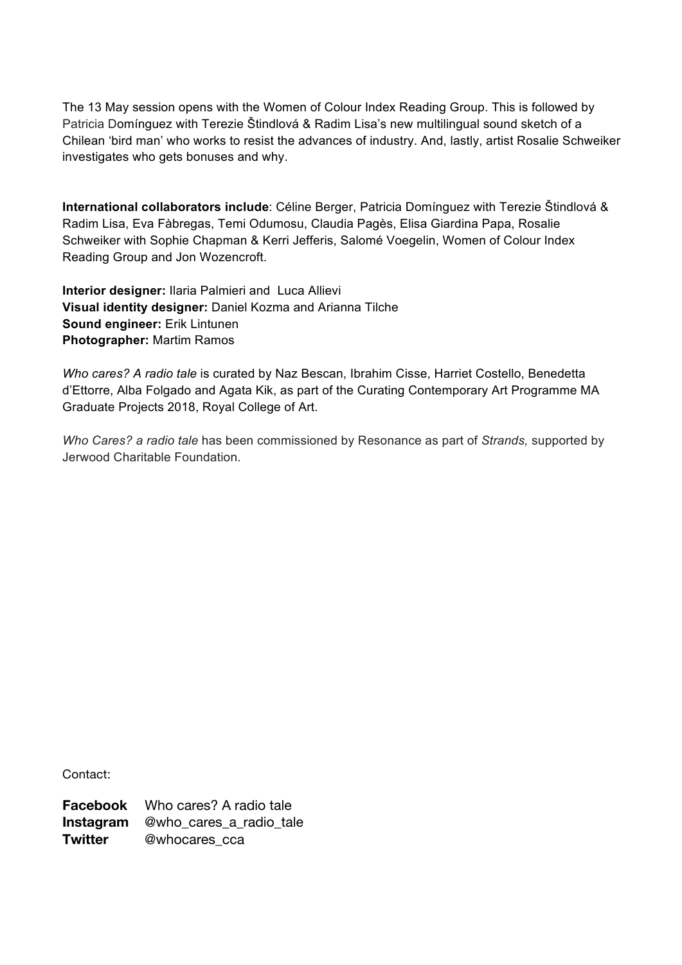The 13 May session opens with the Women of Colour Index Reading Group. This is followed by Patricia Domínguez with Terezie Štindlová & Radim Lisa's new multilingual sound sketch of a Chilean 'bird man' who works to resist the advances of industry. And, lastly, artist Rosalie Schweiker investigates who gets bonuses and why.

**International collaborators include**: Céline Berger, Patricia Domínguez with Terezie Štindlová & Radim Lisa, Eva Fàbregas, Temi Odumosu, Claudia Pagès, Elisa Giardina Papa, Rosalie Schweiker with Sophie Chapman & Kerri Jefferis, Salomé Voegelin, Women of Colour Index Reading Group and Jon Wozencroft.

**Interior designer:** Ilaria Palmieri and Luca Allievi **Visual identity designer:** Daniel Kozma and Arianna Tilche **Sound engineer:** Erik Lintunen **Photographer:** Martim Ramos

*Who cares? A radio tale* is curated by Naz Bescan, Ibrahim Cisse, Harriet Costello, Benedetta d'Ettorre, Alba Folgado and Agata Kik, as part of the Curating Contemporary Art Programme MA Graduate Projects 2018, Royal College of Art.

*Who Cares? a radio tale* has been commissioned by Resonance as part of *Strands,* supported by Jerwood Charitable Foundation.

Contact:

**Facebook** Who cares? A radio tale **Instagram** @who\_cares\_a\_radio\_tale **Twitter** @whocares cca